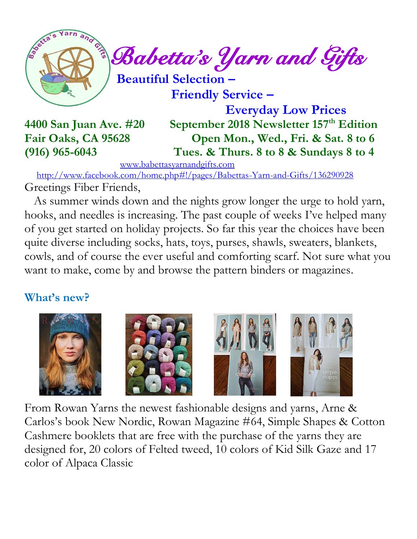

 **Friendly Service –**

 **Everyday Low Prices 4400 San Juan Ave. #20 September 2018 Newsletter 157 th Edition Fair Oaks, CA 95628 Open Mon., Wed., Fri. & Sat. 8 to 6 (916) 965-6043 Tues. & Thurs. 8 to 8 & Sundays 8 to 4**

[www.babettasyarnandgifts.com](http://www.babettasyarnandgifts.com/)

 <http://www.facebook.com/home.php#!/pages/Babettas-Yarn-and-Gifts/136290928> Greetings Fiber Friends,

 As summer winds down and the nights grow longer the urge to hold yarn, hooks, and needles is increasing. The past couple of weeks I've helped many of you get started on holiday projects. So far this year the choices have been quite diverse including socks, hats, toys, purses, shawls, sweaters, blankets, cowls, and of course the ever useful and comforting scarf. Not sure what you want to make, come by and browse the pattern binders or magazines.

### **What's new?**



From Rowan Yarns the newest fashionable designs and yarns, Arne & Carlos's book New Nordic, Rowan Magazine #64, Simple Shapes & Cotton Cashmere booklets that are free with the purchase of the yarns they are designed for, 20 colors of Felted tweed, 10 colors of Kid Silk Gaze and 17 color of Alpaca Classic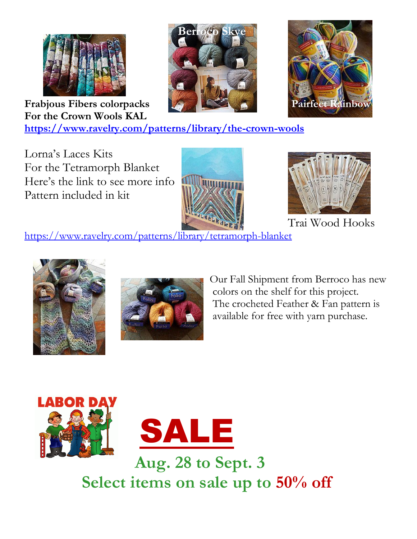





**Frabjous Fibers colorpacks For the Crown Wools KAL**

**<https://www.ravelry.com/patterns/library/the-crown-wools>**

Lorna's Laces Kits For the Tetramorph Blanket Here's the link to see more info Pattern included in kit





Trai Wood Hooks

<https://www.ravelry.com/patterns/library/tetramorph-blanket>





 Our Fall Shipment from Berroco has new colors on the shelf for this project. The crocheted Feather & Fan pattern is available for free with yarn purchase.



 **Aug. 28 to Sept. 3 Select items on sale up to 50% off**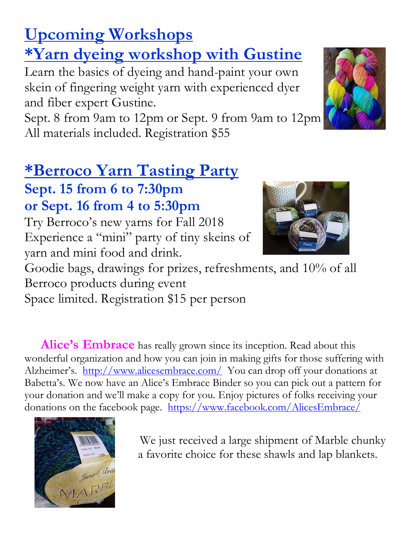# **Upcoming Workshops**

# **\*Yarn dyeing workshop with Gustine**

Learn the basics of dyeing and hand-paint your own skein of fingering weight yarn with experienced dyer and fiber expert Gustine.

Sept. 8 from 9am to 12pm or Sept. 9 from 9am to 12pm All materials included. Registration \$55

# **\*Berroco Yarn Tasting Party**

**Sept. 15 from 6 to 7:30pm or Sept. 16 from 4 to 5:30pm**

Try Berroco's new yarns for Fall 2018 Experience a "mini" party of tiny skeins of yarn and mini food and drink.

Goodie bags, drawings for prizes, refreshments, and 10% of all Berroco products during event Space limited. Registration \$15 per person

Alice's Embrace has really grown since its inception. Read about this wonderful organization and how you can join in making gifts for those suffering with Alzheimer's. <http://www.alicesembrace.com/>You can drop off your donations at Babetta's. We now have an Alice's Embrace Binder so you can pick out a pattern for your donation and we'll make a copy for you. Enjoy pictures of folks receiving your donations on the facebook page. <https://www.facebook.com/AlicesEmbrace/>



We just received a large shipment of Marble chunky a favorite choice for these shawls and lap blankets.



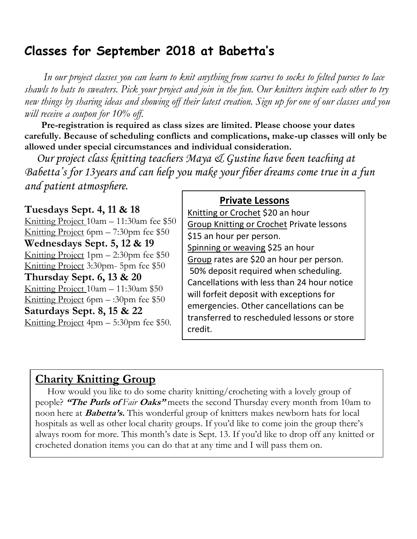### **Classes for September 2018 at Babetta's**

 *In our project classes you can learn to knit anything from scarves to socks to felted purses to lace shawls to hats to sweaters. Pick your project and join in the fun. Our knitters inspire each other to try new things by sharing ideas and showing off their latest creation. Sign up for one of our classes and you will receive a coupon for 10% off.*

 **Pre-registration is required as class sizes are limited. Please choose your dates carefully. Because of scheduling conflicts and complications, make-up classes will only be allowed under special circumstances and individual consideration.**

*Our project class knitting teachers Maya & Gustine have been teaching at Babetta's for 13years and can help you make your fiber dreams come true in a fun and patient atmosphere.*

#### **Tuesdays Sept. 4, 11 & 18**

Knitting Project 10am – 11:30am fee \$50 Knitting Project 6pm – 7:30pm fee \$50 **Wednesdays Sept. 5, 12 & 19** Knitting Project  $1pm - 2:30pm$  fee \$50 Knitting Project 3:30pm- 5pm fee \$50 **Thursday Sept. 6, 13 & 20** Knitting Project 10am – 11:30am \$50 Knitting Project 6pm  $-$ :30pm fee \$50 **Saturdays Sept. 8, 15 & 22** Knitting Project 4pm – 5:30pm fee \$50.

#### **Private Lessons**

Knitting or Crochet \$20 an hour Group Knitting or Crochet Private lessons \$15 an hour per person. Spinning or weaving \$25 an hour Group rates are \$20 an hour per person. 50% deposit required when scheduling. Cancellations with less than 24 hour notice will forfeit deposit with exceptions for emergencies. Other cancellations can be transferred to rescheduled lessons or store credit.

### **Charity Knitting Group**

 How would you like to do some charity knitting/crocheting with a lovely group of people? **"The Purls of** *Fair* **Oaks"** meets the second Thursday every month from 10am to noon here at **Babetta's.** This wonderful group of knitters makes newborn hats for local hospitals as well as other local charity groups. If you'd like to come join the group there's always room for more. This month's date is Sept. 13. If you'd like to drop off any knitted or crocheted donation items you can do that at any time and I will pass them on.